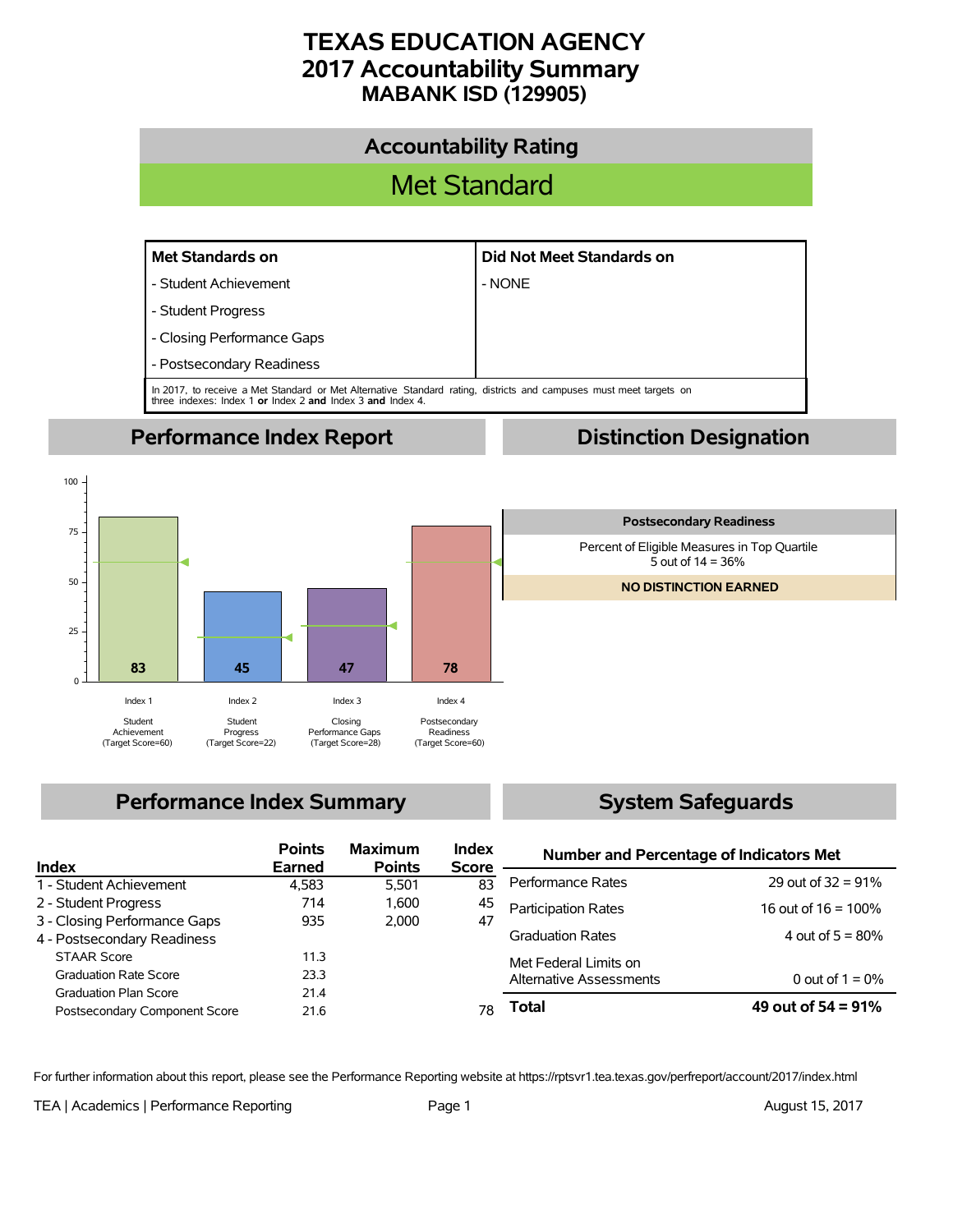# **TEXAS EDUCATION AGENCY 2017 Accountability Summary MABANK ISD (129905)**



# **Performance Index Summary**

# **System Safeguards**

| Index                         | <b>Points</b><br>Earned | <b>Maximum</b><br><b>Points</b> | <b>Index</b><br><b>Score</b> | <b>Number and Percentage of Indicators Met</b> |                        |  |  |
|-------------------------------|-------------------------|---------------------------------|------------------------------|------------------------------------------------|------------------------|--|--|
|                               |                         |                                 |                              | Performance Rates                              | 29 out of $32 = 91\%$  |  |  |
| 1 - Student Achievement       | 4.583                   | 5.501                           | 83                           |                                                |                        |  |  |
| 2 - Student Progress          | 714                     | 1.600                           | 45                           | <b>Participation Rates</b>                     | 16 out of $16 = 100\%$ |  |  |
| 3 - Closing Performance Gaps  | 935                     | 2.000                           | 47                           |                                                |                        |  |  |
| 4 - Postsecondary Readiness   |                         |                                 |                              | <b>Graduation Rates</b>                        | 4 out of $5 = 80\%$    |  |  |
| <b>STAAR Score</b>            | 11.3                    |                                 |                              | Met Federal Limits on                          |                        |  |  |
| <b>Graduation Rate Score</b>  | 23.3                    |                                 |                              | <b>Alternative Assessments</b>                 | 0 out of $1 = 0\%$     |  |  |
| <b>Graduation Plan Score</b>  | 21.4                    |                                 |                              |                                                |                        |  |  |
| Postsecondary Component Score | 21.6                    |                                 | 78                           | Total                                          | 49 out of $54 = 91\%$  |  |  |

For further information about this report, please see the Performance Reporting website at https://rptsvr1.tea.texas.gov/perfreport/account/2017/index.html

TEA | Academics | Performance Reporting Page 1 August 15, 2017

 $\Omega$ 

25

50

75

100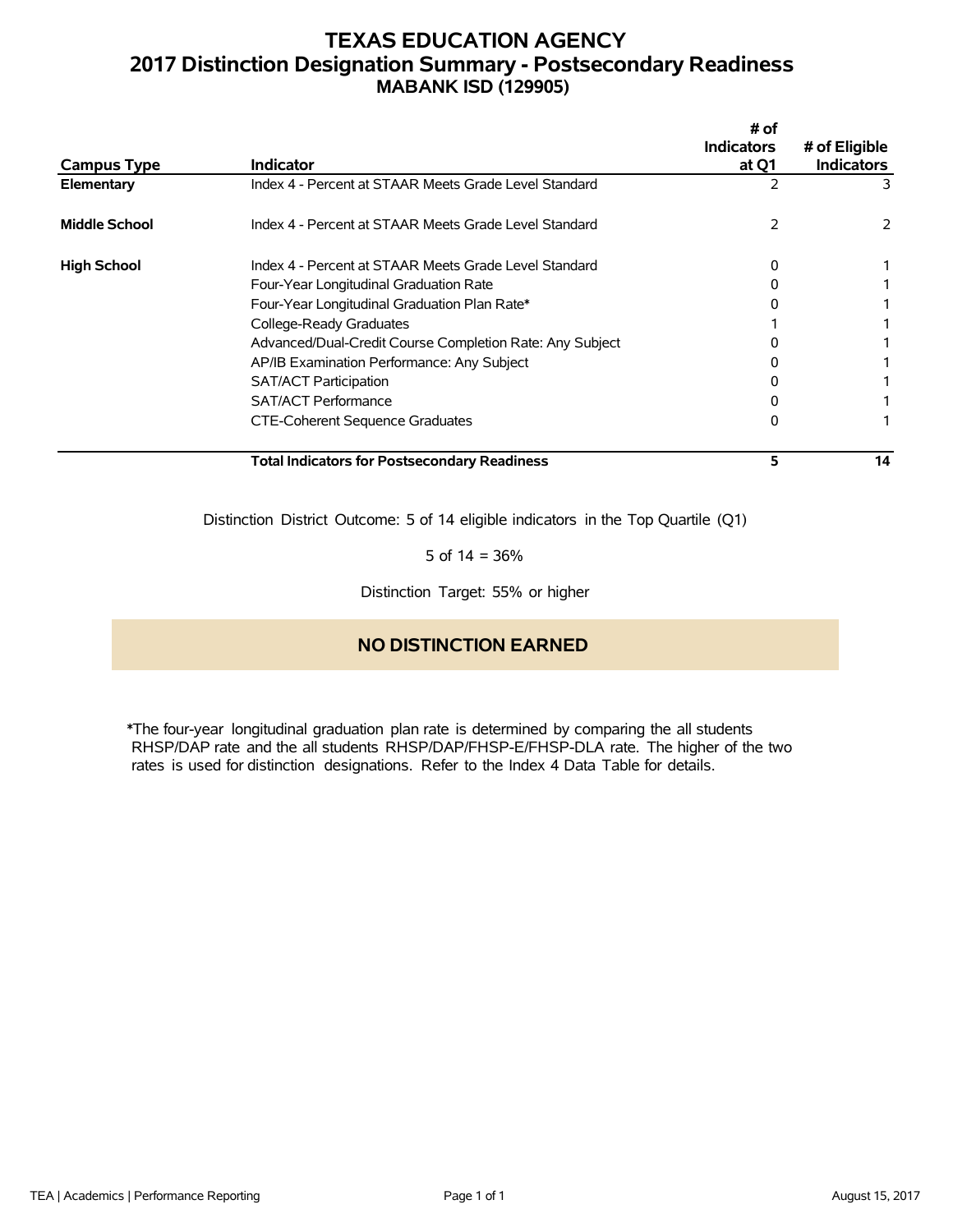# **TEXAS EDUCATION AGENCY 2017 Distinction Designation Summary - Postsecondary Readiness MABANK ISD (129905)**

| <b>Campus Type</b>   | <b>Indicator</b>                                         | # of<br><b>Indicators</b><br>at Q1 | # of Eligible<br><b>Indicators</b> |
|----------------------|----------------------------------------------------------|------------------------------------|------------------------------------|
| Elementary           | Index 4 - Percent at STAAR Meets Grade Level Standard    |                                    | 3.                                 |
| <b>Middle School</b> | Index 4 - Percent at STAAR Meets Grade Level Standard    |                                    | 2                                  |
| <b>High School</b>   | Index 4 - Percent at STAAR Meets Grade Level Standard    | 0                                  |                                    |
|                      | Four-Year Longitudinal Graduation Rate                   |                                    |                                    |
|                      | Four-Year Longitudinal Graduation Plan Rate*             |                                    |                                    |
|                      | College-Ready Graduates                                  |                                    |                                    |
|                      | Advanced/Dual-Credit Course Completion Rate: Any Subject |                                    |                                    |
|                      | AP/IB Examination Performance: Any Subject               |                                    |                                    |
|                      | <b>SAT/ACT Participation</b>                             |                                    |                                    |
|                      | <b>SAT/ACT Performance</b>                               |                                    |                                    |
|                      | CTE-Coherent Sequence Graduates                          | Ω                                  |                                    |
|                      | Total Indicators for Postsecondary Readiness             | 5                                  | 14                                 |

Distinction District Outcome: 5 of 14 eligible indicators in the Top Quartile (Q1)

5 of  $14 = 36%$ 

Distinction Target: 55% or higher

## **NO DISTINCTION EARNED**

\*The four-year longitudinal graduation plan rate is determined by comparing the all students RHSP/DAP rate and the all students RHSP/DAP/FHSP-E/FHSP-DLA rate. The higher of the two rates is used for distinction designations. Refer to the Index 4 Data Table for details.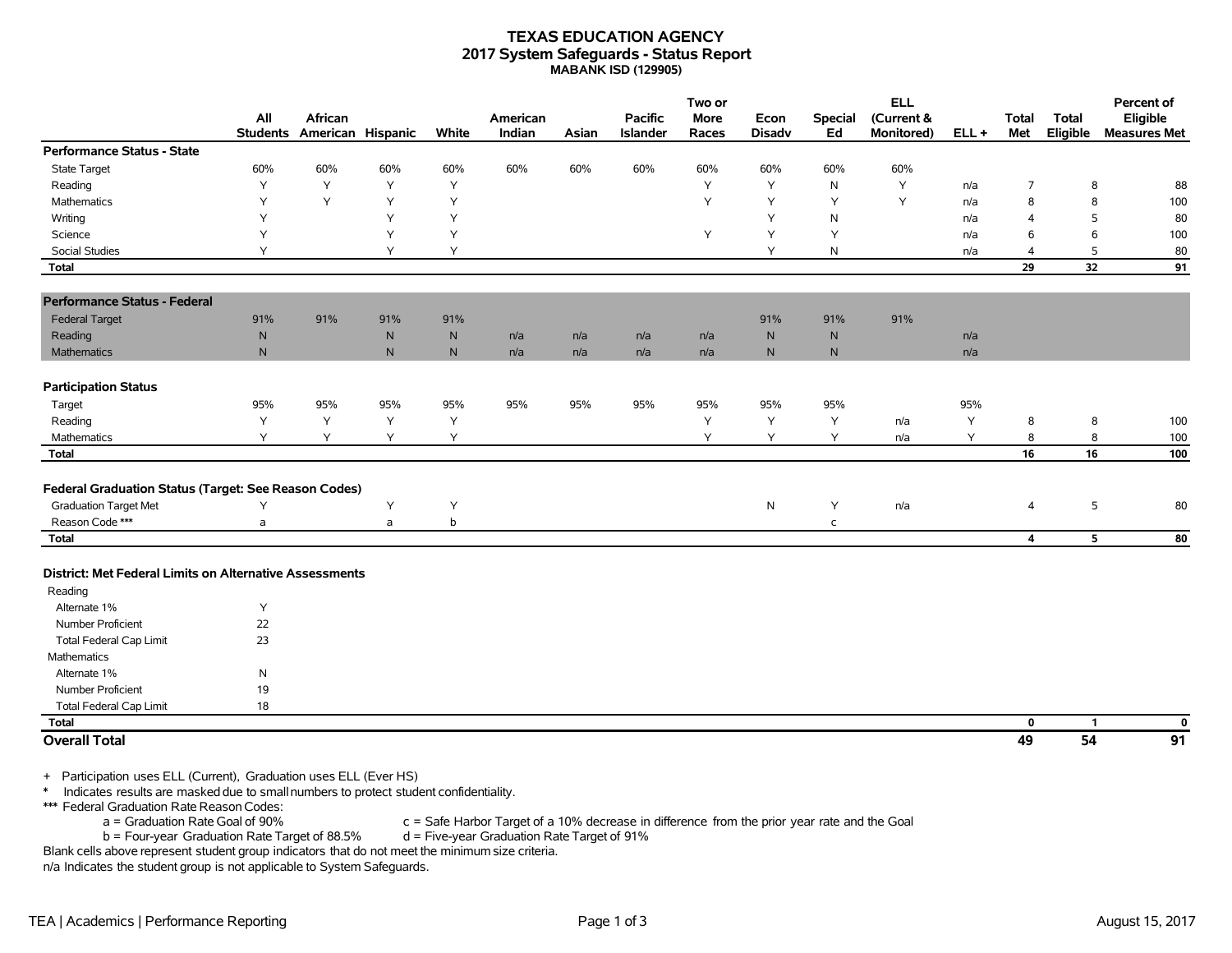## **TEXAS EDUCATION AGENCY 2017 System Safeguards - Status Report MABANK ISD (129905)**

|                                                                                                                                                                      | All             | African           |              |              | American |       | <b>Pacific</b>  | Two or<br>More | Econ          | <b>Special</b> | <b>ELL</b><br>(Current & |         | <b>Total</b>            | <b>Total</b>    | Percent of<br>Eligible |
|----------------------------------------------------------------------------------------------------------------------------------------------------------------------|-----------------|-------------------|--------------|--------------|----------|-------|-----------------|----------------|---------------|----------------|--------------------------|---------|-------------------------|-----------------|------------------------|
| <b>Performance Status - State</b>                                                                                                                                    | <b>Students</b> | American Hispanic |              | White        | Indian   | Asian | <b>Islander</b> | Races          | <b>Disadv</b> | Ed             | Monitored)               | $ELL +$ | Met                     | Eligible        | <b>Measures Met</b>    |
| <b>State Target</b>                                                                                                                                                  | 60%             | 60%               | 60%          | 60%          | 60%      | 60%   | 60%             | 60%            | 60%           | 60%            | 60%                      |         |                         |                 |                        |
| Reading                                                                                                                                                              | Y               | Y                 | Y            | Y            |          |       |                 | Y              | Y             | N              | Y                        | n/a     | $\overline{7}$          | 8               | 88                     |
| <b>Mathematics</b>                                                                                                                                                   | Y               | Y                 | Y            | Y            |          |       |                 | Y              | Y             | Y              | Y                        | n/a     | 8                       | 8               | 100                    |
| Writing                                                                                                                                                              | Υ               |                   | Y            | Y            |          |       |                 |                | Υ             | N              |                          | n/a     | 4                       | 5               | 80                     |
| Science                                                                                                                                                              | Υ               |                   | Y            | Y            |          |       |                 | Y              | Υ             | Y              |                          | n/a     | 6                       | 6               | 100                    |
| Social Studies                                                                                                                                                       | Y               |                   | Y            | Y            |          |       |                 |                | Y             | N              |                          | n/a     | 4                       | 5               | 80                     |
| <b>Total</b>                                                                                                                                                         |                 |                   |              |              |          |       |                 |                |               |                |                          |         | 29                      | 32              | 91                     |
| <b>Performance Status - Federal</b>                                                                                                                                  |                 |                   |              |              |          |       |                 |                |               |                |                          |         |                         |                 |                        |
| <b>Federal Target</b>                                                                                                                                                | 91%             | 91%               | 91%          | 91%          |          |       |                 |                | 91%           | 91%            | 91%                      |         |                         |                 |                        |
| Reading                                                                                                                                                              | N               |                   | $\mathsf{N}$ | $\mathsf{N}$ | n/a      | n/a   | n/a             | n/a            | $\mathsf{N}$  | $\mathsf{N}$   |                          | n/a     |                         |                 |                        |
| Mathematics                                                                                                                                                          | ${\sf N}$       |                   | $\mathsf{N}$ | ${\sf N}$    | n/a      | n/a   | n/a             | n/a            | ${\sf N}$     | N              |                          | n/a     |                         |                 |                        |
| <b>Participation Status</b>                                                                                                                                          |                 |                   |              |              |          |       |                 |                |               |                |                          |         |                         |                 |                        |
| Target                                                                                                                                                               | 95%             | 95%               | 95%          | 95%          | 95%      | 95%   | 95%             | 95%            | 95%           | 95%            |                          | 95%     |                         |                 |                        |
| Reading                                                                                                                                                              | Y               | Y                 | Y            | Y            |          |       |                 | Y              | Υ             | Υ              | n/a                      | Υ       | 8                       | 8               | 100                    |
| Mathematics                                                                                                                                                          | Y               | Y                 | Y            | Y            |          |       |                 | Y              | Υ             | Y              | n/a                      | Υ       | 8                       | 8               | 100                    |
| <b>Total</b>                                                                                                                                                         |                 |                   |              |              |          |       |                 |                |               |                |                          |         | 16                      | 16              | 100                    |
| Federal Graduation Status (Target: See Reason Codes)                                                                                                                 |                 |                   |              |              |          |       |                 |                |               |                |                          |         |                         |                 |                        |
| <b>Graduation Target Met</b>                                                                                                                                         | Υ               |                   | Y            | Y            |          |       |                 |                | $\mathsf{N}$  | Υ              | n/a                      |         | 4                       | 5               | 80                     |
| Reason Code ***                                                                                                                                                      | a               |                   | a            | $\mathsf b$  |          |       |                 |                |               | $\mathsf{C}$   |                          |         |                         |                 |                        |
| <b>Total</b>                                                                                                                                                         |                 |                   |              |              |          |       |                 |                |               |                |                          |         | $\overline{\mathbf{4}}$ | 5               | ${\bf 80}$             |
| District: Met Federal Limits on Alternative Assessments                                                                                                              |                 |                   |              |              |          |       |                 |                |               |                |                          |         |                         |                 |                        |
| Reading                                                                                                                                                              |                 |                   |              |              |          |       |                 |                |               |                |                          |         |                         |                 |                        |
| Alternate 1%                                                                                                                                                         | Y               |                   |              |              |          |       |                 |                |               |                |                          |         |                         |                 |                        |
| Number Proficient                                                                                                                                                    | 22              |                   |              |              |          |       |                 |                |               |                |                          |         |                         |                 |                        |
| <b>Total Federal Cap Limit</b>                                                                                                                                       | 23              |                   |              |              |          |       |                 |                |               |                |                          |         |                         |                 |                        |
| <b>Mathematics</b>                                                                                                                                                   |                 |                   |              |              |          |       |                 |                |               |                |                          |         |                         |                 |                        |
| Alternate 1%                                                                                                                                                         | ${\sf N}$       |                   |              |              |          |       |                 |                |               |                |                          |         |                         |                 |                        |
| Number Proficient                                                                                                                                                    | 19              |                   |              |              |          |       |                 |                |               |                |                          |         |                         |                 |                        |
| Total Federal Cap Limit                                                                                                                                              | 18              |                   |              |              |          |       |                 |                |               |                |                          |         |                         |                 |                        |
| <b>Total</b>                                                                                                                                                         |                 |                   |              |              |          |       |                 |                |               |                |                          |         | 0                       | $\mathbf{1}$    | $\mathbf{0}$           |
| <b>Overall Total</b>                                                                                                                                                 |                 |                   |              |              |          |       |                 |                |               |                |                          |         | 49                      | $\overline{54}$ | 91                     |
| + Participation uses ELL (Current), Graduation uses ELL (Ever HS)<br>$\ast$<br>Indicates results are masked due to small numbers to protect student confidentiality. |                 |                   |              |              |          |       |                 |                |               |                |                          |         |                         |                 |                        |

\*\*\* Federal Graduation Rate Reason Codes:

a = Graduation Rate Goal of 90% c = Safe Harbor Target of a 10% decrease in difference from the prior year rate and the Goal<br>b = Four-year Graduation Rate Target of 88.5% d = Five-year Graduation Rate Target of 91%  $b = Four-year Gradient Rate Target of 88.5%$ 

Blank cells above represent student group indicators that do not meet the minimum size criteria.

n/a Indicates the student group is not applicable to System Safeguards.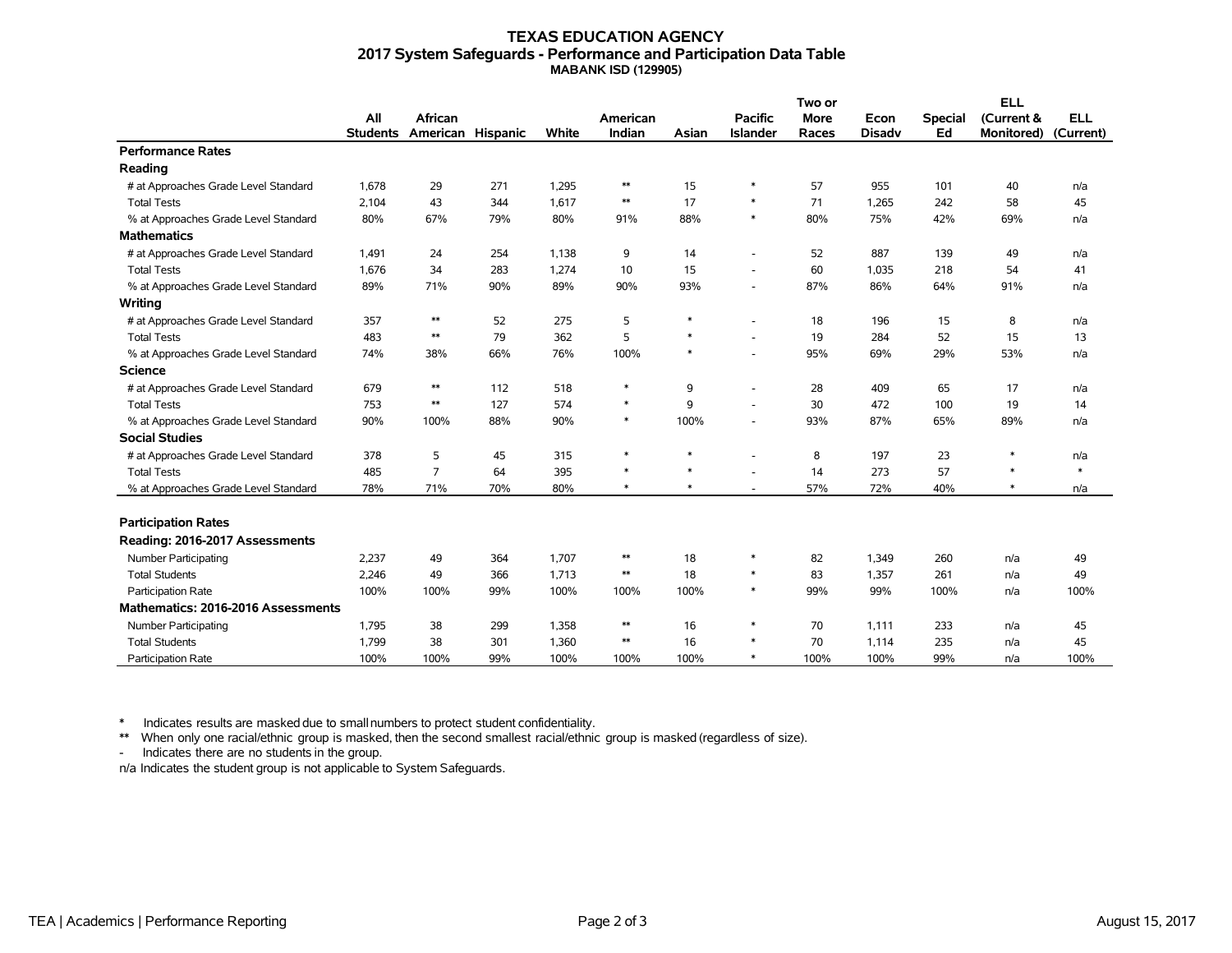## **TEXAS EDUCATION AGENCY 2017 System Safeguards - Performance and Participation Data Table MABANK ISD (129905)**

|                                      |                 |                   |     |       | American   |        | Two or                   |             |               | <b>ELL</b>     |                   |            |
|--------------------------------------|-----------------|-------------------|-----|-------|------------|--------|--------------------------|-------------|---------------|----------------|-------------------|------------|
|                                      | All             | African           |     |       |            |        | <b>Pacific</b>           | <b>More</b> | Econ          | <b>Special</b> | (Current &        | <b>ELL</b> |
|                                      | <b>Students</b> | American Hispanic |     | White | Indian     | Asian  | <b>Islander</b>          | Races       | <b>Disadv</b> | Ed             | <b>Monitored)</b> | (Current)  |
| <b>Performance Rates</b>             |                 |                   |     |       |            |        |                          |             |               |                |                   |            |
| Reading                              |                 |                   |     |       |            |        |                          |             |               |                |                   |            |
| # at Approaches Grade Level Standard | 1,678           | 29                | 271 | 1,295 | $\ast\ast$ | 15     | $\ast$                   | 57          | 955           | 101            | 40                | n/a        |
| <b>Total Tests</b>                   | 2,104           | 43                | 344 | 1.617 | $\ast\ast$ | 17     | $\ast$                   | 71          | 1,265         | 242            | 58                | 45         |
| % at Approaches Grade Level Standard | 80%             | 67%               | 79% | 80%   | 91%        | 88%    | $\ast$                   | 80%         | 75%           | 42%            | 69%               | n/a        |
| <b>Mathematics</b>                   |                 |                   |     |       |            |        |                          |             |               |                |                   |            |
| # at Approaches Grade Level Standard | 1,491           | 24                | 254 | 1,138 | 9          | 14     | $\overline{\phantom{a}}$ | 52          | 887           | 139            | 49                | n/a        |
| <b>Total Tests</b>                   | 1,676           | 34                | 283 | 1,274 | 10         | 15     |                          | 60          | 1,035         | 218            | 54                | 41         |
| % at Approaches Grade Level Standard | 89%             | 71%               | 90% | 89%   | 90%        | 93%    |                          | 87%         | 86%           | 64%            | 91%               | n/a        |
| Writing                              |                 |                   |     |       |            |        |                          |             |               |                |                   |            |
| # at Approaches Grade Level Standard | 357             | $**$              | 52  | 275   | 5          | $\ast$ |                          | 18          | 196           | 15             | 8                 | n/a        |
| <b>Total Tests</b>                   | 483             | $**$              | 79  | 362   | 5          | $\ast$ |                          | 19          | 284           | 52             | 15                | 13         |
| % at Approaches Grade Level Standard | 74%             | 38%               | 66% | 76%   | 100%       | $\ast$ | ÷,                       | 95%         | 69%           | 29%            | 53%               | n/a        |
| <b>Science</b>                       |                 |                   |     |       |            |        |                          |             |               |                |                   |            |
| # at Approaches Grade Level Standard | 679             | $\ast\ast$        | 112 | 518   | $\ast$     | 9      | ٠                        | 28          | 409           | 65             | 17                | n/a        |
| <b>Total Tests</b>                   | 753             | $**$              | 127 | 574   | $\ast$     | 9      | ٠                        | 30          | 472           | 100            | 19                | 14         |
| % at Approaches Grade Level Standard | 90%             | 100%              | 88% | 90%   | $\ast$     | 100%   | $\overline{\phantom{a}}$ | 93%         | 87%           | 65%            | 89%               | n/a        |
| <b>Social Studies</b>                |                 |                   |     |       |            |        |                          |             |               |                |                   |            |
| # at Approaches Grade Level Standard | 378             | 5                 | 45  | 315   | $\ast$     | $\ast$ |                          | 8           | 197           | 23             | $\ast$            | n/a        |
| <b>Total Tests</b>                   | 485             | $\overline{7}$    | 64  | 395   | $\ast$     | $\ast$ |                          | 14          | 273           | 57             | $\ast$            | $\ast$     |
| % at Approaches Grade Level Standard | 78%             | 71%               | 70% | 80%   | $\ast$     | $\ast$ | ٠                        | 57%         | 72%           | 40%            | $\ast$            | n/a        |
|                                      |                 |                   |     |       |            |        |                          |             |               |                |                   |            |
| <b>Participation Rates</b>           |                 |                   |     |       |            |        |                          |             |               |                |                   |            |
| Reading: 2016-2017 Assessments       |                 |                   |     |       |            |        |                          |             |               |                |                   |            |
| Number Participating                 | 2,237           | 49                | 364 | 1,707 | $\ast\ast$ | 18     | $\ast$                   | 82          | 1,349         | 260            | n/a               | 49         |
| <b>Total Students</b>                | 2,246           | 49                | 366 | 1,713 | $\ast\ast$ | 18     | $\ast$                   | 83          | 1,357         | 261            | n/a               | 49         |
| Participation Rate                   | 100%            | 100%              | 99% | 100%  | 100%       | 100%   | $\ast$                   | 99%         | 99%           | 100%           | n/a               | 100%       |
| Mathematics: 2016-2016 Assessments   |                 |                   |     |       |            |        |                          |             |               |                |                   |            |
| Number Participating                 | 1,795           | 38                | 299 | 1,358 | $**$       | 16     | $\ast$                   | 70          | 1.111         | 233            | n/a               | 45         |
| <b>Total Students</b>                | 1,799           | 38                | 301 | 1,360 | $\ast\ast$ | 16     | $\ast$                   | 70          | 1,114         | 235            | n/a               | 45         |
| <b>Participation Rate</b>            | 100%            | 100%              | 99% | 100%  | 100%       | 100%   | $\ast$                   | 100%        | 100%          | 99%            | n/a               | 100%       |

\* Indicates results are masked due to smallnumbers to protect student confidentiality.

\*\* When only one racial/ethnic group is masked, then the second smallest racial/ethnic group is masked (regardless of size).

- Indicates there are no students in the group.

n/a Indicates the student group is not applicable to System Safeguards.